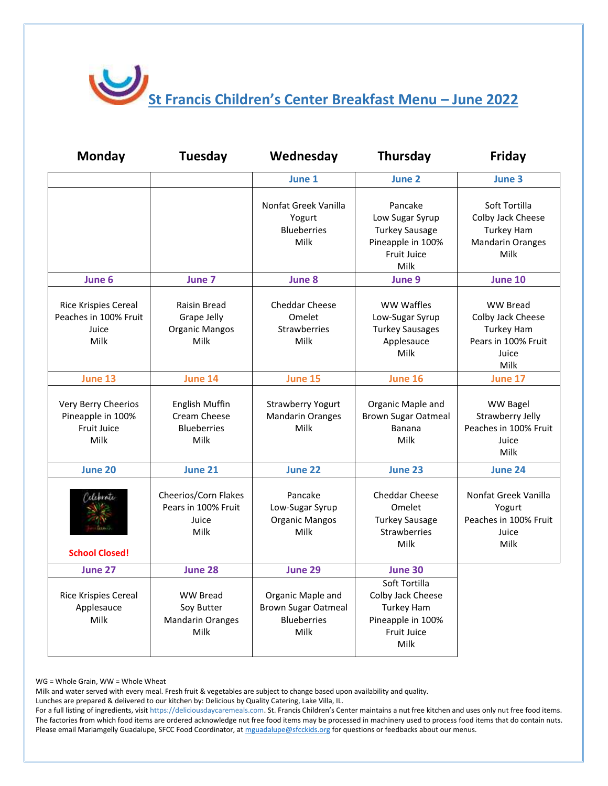St Francis Children's Center Breakfast Menu – June 2022

| <b>Monday</b>                                                         | <b>Tuesday</b>                                                      | Wednesday                                                                     | Thursday                                                                                                   | Friday                                                                                            |
|-----------------------------------------------------------------------|---------------------------------------------------------------------|-------------------------------------------------------------------------------|------------------------------------------------------------------------------------------------------------|---------------------------------------------------------------------------------------------------|
|                                                                       |                                                                     | June 1                                                                        | June 2                                                                                                     | June 3                                                                                            |
|                                                                       |                                                                     | Nonfat Greek Vanilla<br>Yogurt<br><b>Blueberries</b><br>Milk                  | Pancake<br>Low Sugar Syrup<br><b>Turkey Sausage</b><br>Pineapple in 100%<br><b>Fruit Juice</b><br>Milk     | Soft Tortilla<br>Colby Jack Cheese<br><b>Turkey Ham</b><br><b>Mandarin Oranges</b><br>Milk        |
| June 6                                                                | June 7                                                              | June 8                                                                        | June 9                                                                                                     | <b>June 10</b>                                                                                    |
| <b>Rice Krispies Cereal</b><br>Peaches in 100% Fruit<br>Juice<br>Milk | <b>Raisin Bread</b><br>Grape Jelly<br><b>Organic Mangos</b><br>Milk | <b>Cheddar Cheese</b><br>Omelet<br><b>Strawberries</b><br>Milk                | WW Waffles<br>Low-Sugar Syrup<br><b>Turkey Sausages</b><br>Applesauce<br>Milk                              | <b>WW Bread</b><br>Colby Jack Cheese<br><b>Turkey Ham</b><br>Pears in 100% Fruit<br>Juice<br>Milk |
| June 13                                                               | June 14                                                             | June 15                                                                       | June 16                                                                                                    | June 17                                                                                           |
| Very Berry Cheerios<br>Pineapple in 100%<br>Fruit Juice<br>Milk       | English Muffin<br>Cream Cheese<br><b>Blueberries</b><br>Milk        | <b>Strawberry Yogurt</b><br><b>Mandarin Oranges</b><br>Milk                   | Organic Maple and<br><b>Brown Sugar Oatmeal</b><br>Banana<br>Milk                                          | <b>WW Bagel</b><br>Strawberry Jelly<br>Peaches in 100% Fruit<br>Juice<br>Milk                     |
| June 20                                                               | June 21                                                             | June 22                                                                       | June 23                                                                                                    | June 24                                                                                           |
| deprote<br><b>School Closed!</b>                                      | Cheerios/Corn Flakes<br>Pears in 100% Fruit<br>Juice<br>Milk        | Pancake<br>Low-Sugar Syrup<br><b>Organic Mangos</b><br>Milk                   | <b>Cheddar Cheese</b><br>Omelet<br><b>Turkey Sausage</b><br>Strawberries<br>Milk                           | Nonfat Greek Vanilla<br>Yogurt<br>Peaches in 100% Fruit<br>Juice<br>Milk                          |
| June 27                                                               | June 28                                                             | June 29                                                                       | June 30                                                                                                    |                                                                                                   |
| <b>Rice Krispies Cereal</b><br>Applesauce<br>Milk                     | <b>WW Bread</b><br>Soy Butter<br><b>Mandarin Oranges</b><br>Milk    | Organic Maple and<br><b>Brown Sugar Oatmeal</b><br><b>Blueberries</b><br>Milk | Soft Tortilla<br>Colby Jack Cheese<br><b>Turkey Ham</b><br>Pineapple in 100%<br><b>Fruit Juice</b><br>Milk |                                                                                                   |

WG = Whole Grain, WW = Whole Wheat

Milk and water served with every meal. Fresh fruit & vegetables are subject to change based upon availability and quality.

Lunches are prepared & delivered to our kitchen by: Delicious by Quality Catering, Lake Villa, IL.

For a full listing of ingredients, visit https://deliciousdaycaremeals.com. St. Francis Children's Center maintains a nut free kitchen and uses only nut free food items. The factories from which food items are ordered acknowledge nut free food items may be processed in machinery used to process food items that do contain nuts. Please email Mariamgelly Guadalupe, SFCC Food Coordinator, a[t mguadalupe@sfcckids.org](mailto:mguadalupe@sfcckids.org) for questions or feedbacks about our menus.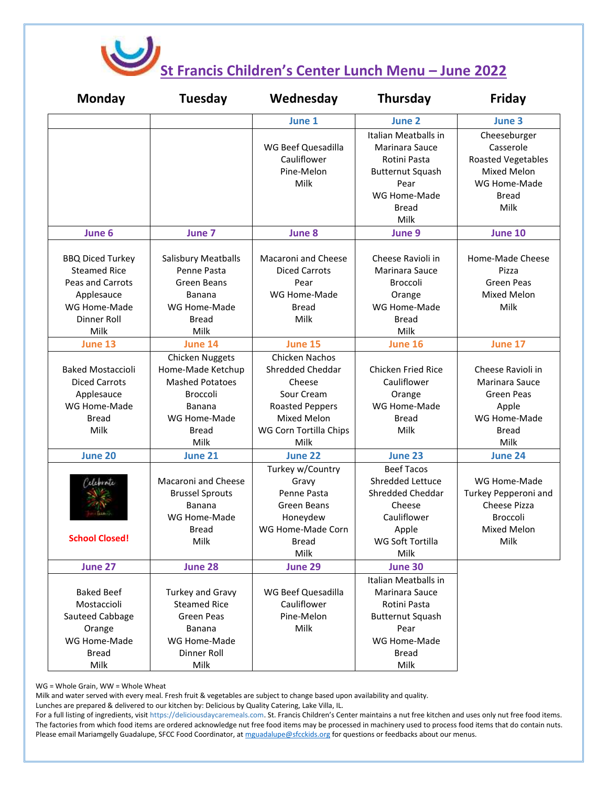

## **St Francis Children's Center Lunch Menu – June 2022**

| Monday                                                                                                                  | Tuesday                                                                                                                                    | Wednesday                                                                                                                             | <b>Thursday</b>                                                                                                                   | Friday                                                                                                               |
|-------------------------------------------------------------------------------------------------------------------------|--------------------------------------------------------------------------------------------------------------------------------------------|---------------------------------------------------------------------------------------------------------------------------------------|-----------------------------------------------------------------------------------------------------------------------------------|----------------------------------------------------------------------------------------------------------------------|
|                                                                                                                         |                                                                                                                                            | June 1                                                                                                                                | June 2                                                                                                                            | June 3                                                                                                               |
|                                                                                                                         |                                                                                                                                            | WG Beef Quesadilla<br>Cauliflower<br>Pine-Melon<br>Milk                                                                               | Italian Meatballs in<br>Marinara Sauce<br>Rotini Pasta<br><b>Butternut Squash</b><br>Pear<br>WG Home-Made<br><b>Bread</b><br>Milk | Cheeseburger<br>Casserole<br><b>Roasted Vegetables</b><br><b>Mixed Melon</b><br>WG Home-Made<br><b>Bread</b><br>Milk |
| June 6                                                                                                                  | June 7                                                                                                                                     | June 8                                                                                                                                | June 9                                                                                                                            | June 10                                                                                                              |
| <b>BBQ Diced Turkey</b><br><b>Steamed Rice</b><br>Peas and Carrots<br>Applesauce<br>WG Home-Made<br>Dinner Roll<br>Milk | Salisbury Meatballs<br>Penne Pasta<br>Green Beans<br>Banana<br>WG Home-Made<br><b>Bread</b><br>Milk                                        | Macaroni and Cheese<br><b>Diced Carrots</b><br>Pear<br>WG Home-Made<br>Bread<br>Milk                                                  | Cheese Ravioli in<br>Marinara Sauce<br>Broccoli<br>Orange<br>WG Home-Made<br><b>Bread</b><br>Milk                                 | Home-Made Cheese<br>Pizza<br>Green Peas<br>Mixed Melon<br>Milk                                                       |
| June 13                                                                                                                 | June 14                                                                                                                                    | June 15                                                                                                                               | June 16                                                                                                                           | June 17                                                                                                              |
| <b>Baked Mostaccioli</b><br><b>Diced Carrots</b><br>Applesauce<br>WG Home-Made<br><b>Bread</b><br>Milk                  | <b>Chicken Nuggets</b><br>Home-Made Ketchup<br><b>Mashed Potatoes</b><br><b>Broccoli</b><br>Banana<br>WG Home-Made<br><b>Bread</b><br>Milk | Chicken Nachos<br>Shredded Cheddar<br>Cheese<br>Sour Cream<br><b>Roasted Peppers</b><br>Mixed Melon<br>WG Corn Tortilla Chips<br>Milk | <b>Chicken Fried Rice</b><br>Cauliflower<br>Orange<br>WG Home-Made<br><b>Bread</b><br>Milk                                        | Cheese Ravioli in<br>Marinara Sauce<br><b>Green Peas</b><br>Apple<br>WG Home-Made<br><b>Bread</b><br>Milk            |
| June 20                                                                                                                 | <b>June 21</b>                                                                                                                             | June 22                                                                                                                               | June 23                                                                                                                           | June 24                                                                                                              |
| eleprote<br><b>School Closed!</b>                                                                                       | Macaroni and Cheese<br><b>Brussel Sprouts</b><br>Banana<br>WG Home-Made<br>Bread<br>Milk                                                   | Turkey w/Country<br>Gravy<br>Penne Pasta<br>Green Beans<br>Honeydew<br>WG Home-Made Corn<br><b>Bread</b><br>Milk                      | <b>Beef Tacos</b><br>Shredded Lettuce<br>Shredded Cheddar<br>Cheese<br>Cauliflower<br>Apple<br>WG Soft Tortilla<br>Milk           | WG Home-Made<br>Turkey Pepperoni and<br><b>Cheese Pizza</b><br><b>Broccoli</b><br>Mixed Melon<br>Milk                |
| June 27                                                                                                                 | June 28                                                                                                                                    | June 29                                                                                                                               | June 30                                                                                                                           |                                                                                                                      |
| <b>Baked Beef</b><br>Mostaccioli<br>Sauteed Cabbage<br>Orange<br>WG Home-Made<br><b>Bread</b><br>Milk                   | Turkey and Gravy<br><b>Steamed Rice</b><br><b>Green Peas</b><br>Banana<br>WG Home-Made<br>Dinner Roll<br>Milk                              | WG Beef Quesadilla<br>Cauliflower<br>Pine-Melon<br>Milk                                                                               | Italian Meatballs in<br>Marinara Sauce<br>Rotini Pasta<br><b>Butternut Squash</b><br>Pear<br>WG Home-Made<br><b>Bread</b><br>Milk |                                                                                                                      |

WG = Whole Grain, WW = Whole Wheat

Milk and water served with every meal. Fresh fruit & vegetables are subject to change based upon availability and quality.

Lunches are prepared & delivered to our kitchen by: Delicious by Quality Catering, Lake Villa, IL.

For a full listing of ingredients, visit https://deliciousdaycaremeals.com. St. Francis Children's Center maintains a nut free kitchen and uses only nut free food items. The factories from which food items are ordered acknowledge nut free food items may be processed in machinery used to process food items that do contain nuts. Please email Mariamgelly Guadalupe, SFCC Food Coordinator, a[t mguadalupe@sfcckids.org](mailto:mguadalupe@sfcckids.org) for questions or feedbacks about our menus.